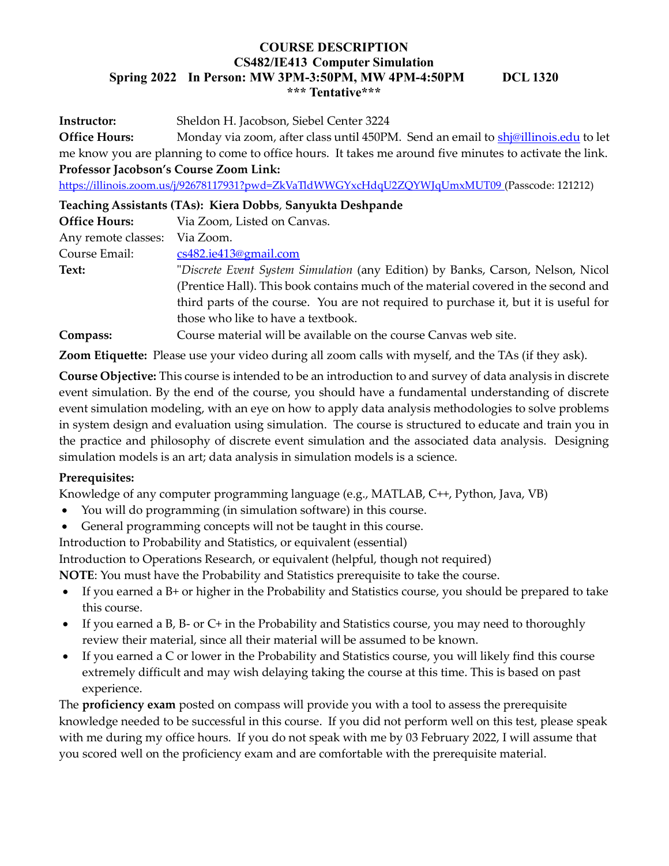Instructor: Sheldon H. Jacobson, Siebel Center 3224

Office Hours: Monday via zoom, after class until 450PM. Send an email to **shj**@illinois.edu to let me know you are planning to come to office hours. It takes me around five minutes to activate the link. Professor Jacobson's Course Zoom Link:

https://illinois.zoom.us/j/92678117931?pwd=ZkVaTldWWGYxcHdqU2ZQYWJqUmxMUT09 (Passcode: 121212)

| Teaching Assistants (TAs): Kiera Dobbs, Sanyukta Deshpande |                                                                                      |  |
|------------------------------------------------------------|--------------------------------------------------------------------------------------|--|
| <b>Office Hours:</b>                                       | Via Zoom, Listed on Canvas.                                                          |  |
| Any remote classes:                                        | Via Zoom.                                                                            |  |
| Course Email:                                              | cs482.ie413@gmail.com                                                                |  |
| Text:                                                      | "Discrete Event System Simulation (any Edition) by Banks, Carson, Nelson, Nicol      |  |
|                                                            | (Prentice Hall). This book contains much of the material covered in the second and   |  |
|                                                            | third parts of the course. You are not required to purchase it, but it is useful for |  |
|                                                            | those who like to have a textbook.                                                   |  |
| Compass:                                                   | Course material will be available on the course Canvas web site.                     |  |

Zoom Etiquette: Please use your video during all zoom calls with myself, and the TAs (if they ask).

Course Objective: This course is intended to be an introduction to and survey of data analysis in discrete event simulation. By the end of the course, you should have a fundamental understanding of discrete event simulation modeling, with an eye on how to apply data analysis methodologies to solve problems in system design and evaluation using simulation. The course is structured to educate and train you in the practice and philosophy of discrete event simulation and the associated data analysis. Designing simulation models is an art; data analysis in simulation models is a science.

# Prerequisites:

Knowledge of any computer programming language (e.g., MATLAB, C++, Python, Java, VB)

- You will do programming (in simulation software) in this course.
- General programming concepts will not be taught in this course.

Introduction to Probability and Statistics, or equivalent (essential)

Introduction to Operations Research, or equivalent (helpful, though not required)

NOTE: You must have the Probability and Statistics prerequisite to take the course.

- If you earned a B+ or higher in the Probability and Statistics course, you should be prepared to take this course.
- If you earned a B, B- or C+ in the Probability and Statistics course, you may need to thoroughly review their material, since all their material will be assumed to be known.
- If you earned a C or lower in the Probability and Statistics course, you will likely find this course extremely difficult and may wish delaying taking the course at this time. This is based on past experience.

The **proficiency exam** posted on compass will provide you with a tool to assess the prerequisite knowledge needed to be successful in this course. If you did not perform well on this test, please speak with me during my office hours. If you do not speak with me by 03 February 2022, I will assume that you scored well on the proficiency exam and are comfortable with the prerequisite material.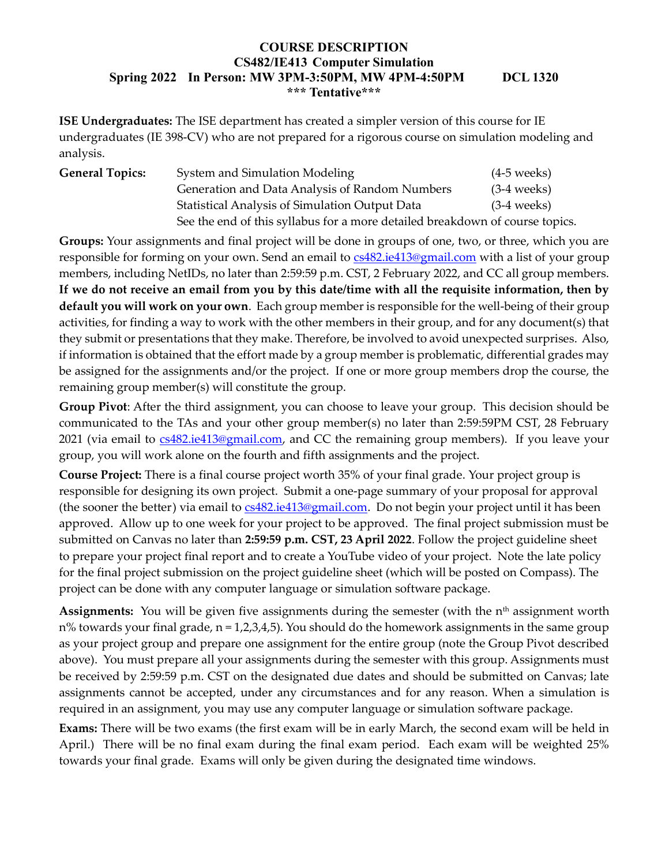ISE Undergraduates: The ISE department has created a simpler version of this course for IE undergraduates (IE 398-CV) who are not prepared for a rigorous course on simulation modeling and analysis.

| <b>General Topics:</b> | System and Simulation Modeling                                               | $(4-5$ weeks) |
|------------------------|------------------------------------------------------------------------------|---------------|
|                        | Generation and Data Analysis of Random Numbers                               | $(3-4$ weeks) |
|                        | Statistical Analysis of Simulation Output Data                               | $(3-4$ weeks) |
|                        | See the end of this syllabus for a more detailed breakdown of course topics. |               |

Groups: Your assignments and final project will be done in groups of one, two, or three, which you are responsible for forming on your own. Send an email to  $cs482$  ie413@gmail.com with a list of your group members, including NetIDs, no later than 2:59:59 p.m. CST, 2 February 2022, and CC all group members. If we do not receive an email from you by this date/time with all the requisite information, then by default you will work on your own. Each group member is responsible for the well-being of their group activities, for finding a way to work with the other members in their group, and for any document(s) that they submit or presentations that they make. Therefore, be involved to avoid unexpected surprises. Also, if information is obtained that the effort made by a group member is problematic, differential grades may be assigned for the assignments and/or the project. If one or more group members drop the course, the remaining group member(s) will constitute the group.

Group Pivot: After the third assignment, you can choose to leave your group. This decision should be communicated to the TAs and your other group member(s) no later than 2:59:59PM CST, 28 February 2021 (via email to cs482.ie413@gmail.com, and CC the remaining group members). If you leave your group, you will work alone on the fourth and fifth assignments and the project.

Course Project: There is a final course project worth 35% of your final grade. Your project group is responsible for designing its own project. Submit a one-page summary of your proposal for approval (the sooner the better) via email to cs482.ie413@gmail.com. Do not begin your project until it has been approved. Allow up to one week for your project to be approved. The final project submission must be submitted on Canvas no later than 2:59:59 p.m. CST, 23 April 2022. Follow the project guideline sheet to prepare your project final report and to create a YouTube video of your project. Note the late policy for the final project submission on the project guideline sheet (which will be posted on Compass). The project can be done with any computer language or simulation software package.

**Assignments:** You will be given five assignments during the semester (with the  $n<sup>th</sup>$  assignment worth  $n%$  towards your final grade,  $n = 1,2,3,4,5$ ). You should do the homework assignments in the same group as your project group and prepare one assignment for the entire group (note the Group Pivot described above). You must prepare all your assignments during the semester with this group. Assignments must be received by 2:59:59 p.m. CST on the designated due dates and should be submitted on Canvas; late assignments cannot be accepted, under any circumstances and for any reason. When a simulation is required in an assignment, you may use any computer language or simulation software package.

Exams: There will be two exams (the first exam will be in early March, the second exam will be held in April.) There will be no final exam during the final exam period. Each exam will be weighted 25% towards your final grade. Exams will only be given during the designated time windows.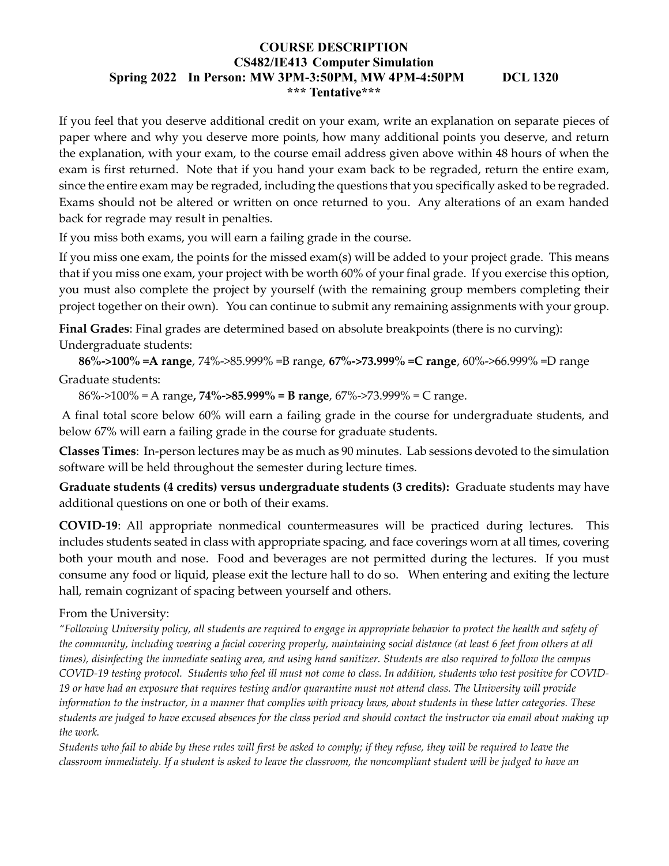If you feel that you deserve additional credit on your exam, write an explanation on separate pieces of paper where and why you deserve more points, how many additional points you deserve, and return the explanation, with your exam, to the course email address given above within 48 hours of when the exam is first returned. Note that if you hand your exam back to be regraded, return the entire exam, since the entire exam may be regraded, including the questions that you specifically asked to be regraded. Exams should not be altered or written on once returned to you. Any alterations of an exam handed back for regrade may result in penalties.

If you miss both exams, you will earn a failing grade in the course.

If you miss one exam, the points for the missed exam(s) will be added to your project grade. This means that if you miss one exam, your project with be worth 60% of your final grade. If you exercise this option, you must also complete the project by yourself (with the remaining group members completing their project together on their own). You can continue to submit any remaining assignments with your group.

Final Grades: Final grades are determined based on absolute breakpoints (there is no curving): Undergraduate students:

86%->100% =A range, 74%->85.999% =B range, 67%->73.999% =C range, 60%->66.999% =D range

# Graduate students:

86%->100% = A range, 74%->85.999% = B range, 67%->73.999% = C range.

 A final total score below 60% will earn a failing grade in the course for undergraduate students, and below 67% will earn a failing grade in the course for graduate students.

Classes Times: In-person lectures may be as much as 90 minutes. Lab sessions devoted to the simulation software will be held throughout the semester during lecture times.

Graduate students (4 credits) versus undergraduate students (3 credits): Graduate students may have additional questions on one or both of their exams.

COVID-19: All appropriate nonmedical countermeasures will be practiced during lectures. This includes students seated in class with appropriate spacing, and face coverings worn at all times, covering both your mouth and nose. Food and beverages are not permitted during the lectures. If you must consume any food or liquid, please exit the lecture hall to do so. When entering and exiting the lecture hall, remain cognizant of spacing between yourself and others.

# From the University:

"Following University policy, all students are required to engage in appropriate behavior to protect the health and safety of the community, including wearing a facial covering properly, maintaining social distance (at least 6 feet from others at all times), disinfecting the immediate seating area, and using hand sanitizer. Students are also required to follow the campus COVID-19 testing protocol. Students who feel ill must not come to class. In addition, students who test positive for COVID-19 or have had an exposure that requires testing and/or quarantine must not attend class. The University will provide information to the instructor, in a manner that complies with privacy laws, about students in these latter categories. These students are judged to have excused absences for the class period and should contact the instructor via email about making up the work.

Students who fail to abide by these rules will first be asked to comply; if they refuse, they will be required to leave the classroom immediately. If a student is asked to leave the classroom, the noncompliant student will be judged to have an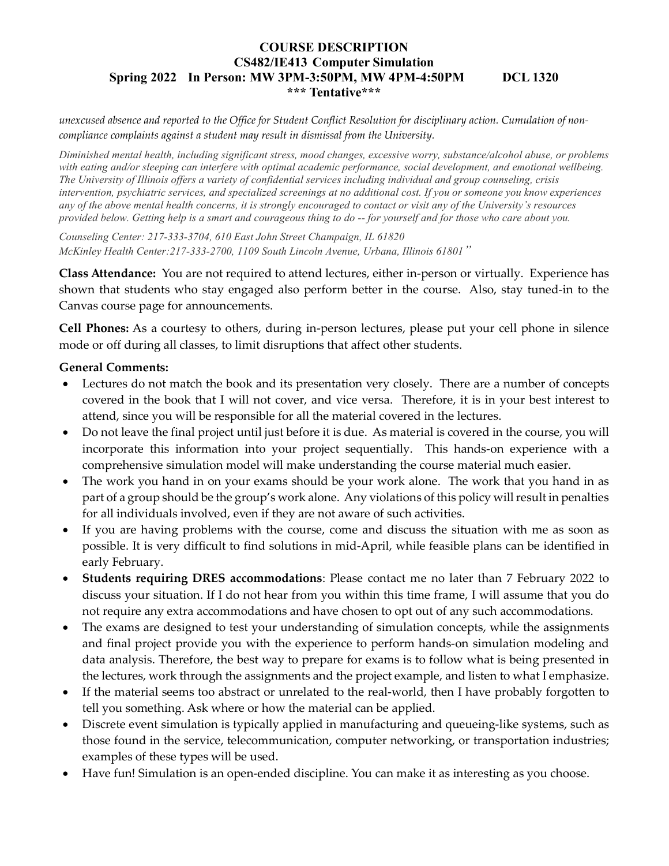unexcused absence and reported to the Office for Student Conflict Resolution for disciplinary action. Cumulation of noncompliance complaints against a student may result in dismissal from the University.

Diminished mental health, including significant stress, mood changes, excessive worry, substance/alcohol abuse, or problems with eating and/or sleeping can interfere with optimal academic performance, social development, and emotional wellbeing. The University of Illinois offers a variety of confidential services including individual and group counseling, crisis intervention, psychiatric services, and specialized screenings at no additional cost. If you or someone you know experiences any of the above mental health concerns, it is strongly encouraged to contact or visit any of the University's resources provided below. Getting help is a smart and courageous thing to do -- for yourself and for those who care about you.

Counseling Center: 217-333-3704, 610 East John Street Champaign, IL 61820 McKinley Health Center:217-333-2700, 1109 South Lincoln Avenue, Urbana, Illinois 61801"

Class Attendance: You are not required to attend lectures, either in-person or virtually. Experience has shown that students who stay engaged also perform better in the course. Also, stay tuned-in to the Canvas course page for announcements.

Cell Phones: As a courtesy to others, during in-person lectures, please put your cell phone in silence mode or off during all classes, to limit disruptions that affect other students.

## General Comments:

- Lectures do not match the book and its presentation very closely. There are a number of concepts covered in the book that I will not cover, and vice versa. Therefore, it is in your best interest to attend, since you will be responsible for all the material covered in the lectures.
- Do not leave the final project until just before it is due. As material is covered in the course, you will incorporate this information into your project sequentially. This hands-on experience with a comprehensive simulation model will make understanding the course material much easier.
- The work you hand in on your exams should be your work alone. The work that you hand in as part of a group should be the group's work alone. Any violations of this policy will result in penalties for all individuals involved, even if they are not aware of such activities.
- If you are having problems with the course, come and discuss the situation with me as soon as possible. It is very difficult to find solutions in mid-April, while feasible plans can be identified in early February.
- Students requiring DRES accommodations: Please contact me no later than 7 February 2022 to discuss your situation. If I do not hear from you within this time frame, I will assume that you do not require any extra accommodations and have chosen to opt out of any such accommodations.
- The exams are designed to test your understanding of simulation concepts, while the assignments and final project provide you with the experience to perform hands-on simulation modeling and data analysis. Therefore, the best way to prepare for exams is to follow what is being presented in the lectures, work through the assignments and the project example, and listen to what I emphasize.
- If the material seems too abstract or unrelated to the real-world, then I have probably forgotten to tell you something. Ask where or how the material can be applied.
- Discrete event simulation is typically applied in manufacturing and queueing-like systems, such as those found in the service, telecommunication, computer networking, or transportation industries; examples of these types will be used.
- Have fun! Simulation is an open-ended discipline. You can make it as interesting as you choose.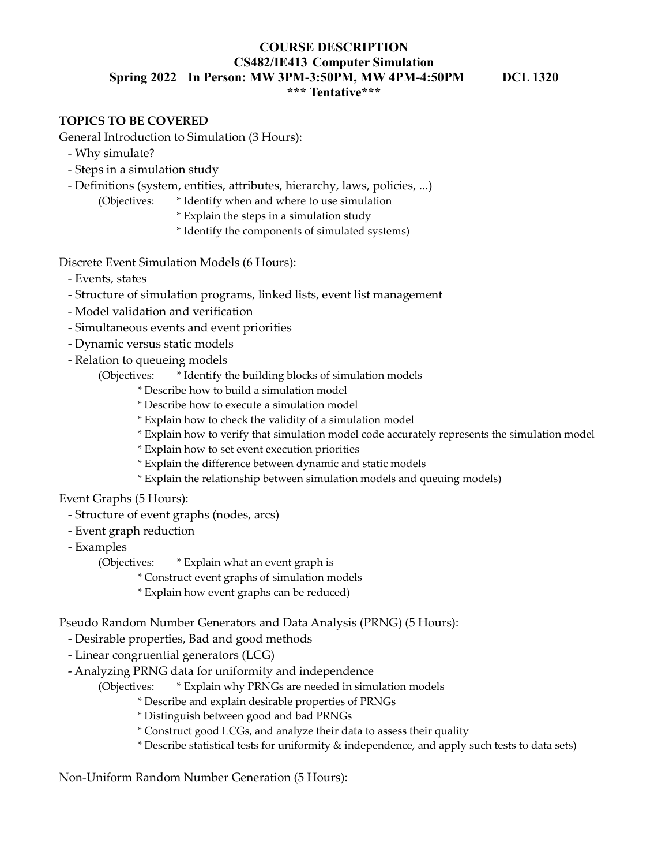## TOPICS TO BE COVERED

General Introduction to Simulation (3 Hours):

- Why simulate?
- Steps in a simulation study
- Definitions (system, entities, attributes, hierarchy, laws, policies, ...)
	- (Objectives: \* Identify when and where to use simulation
		- \* Explain the steps in a simulation study
		- \* Identify the components of simulated systems)

Discrete Event Simulation Models (6 Hours):

- Events, states
- Structure of simulation programs, linked lists, event list management
- Model validation and verification
- Simultaneous events and event priorities
- Dynamic versus static models
- Relation to queueing models
	- (Objectives: \* Identify the building blocks of simulation models
		- \* Describe how to build a simulation model
		- \* Describe how to execute a simulation model
		- \* Explain how to check the validity of a simulation model
		- \* Explain how to verify that simulation model code accurately represents the simulation model
		- \* Explain how to set event execution priorities
		- \* Explain the difference between dynamic and static models
		- \* Explain the relationship between simulation models and queuing models)

Event Graphs (5 Hours):

- Structure of event graphs (nodes, arcs)
- Event graph reduction
- Examples

(Objectives: \* Explain what an event graph is

- \* Construct event graphs of simulation models
- \* Explain how event graphs can be reduced)

Pseudo Random Number Generators and Data Analysis (PRNG) (5 Hours):

- Desirable properties, Bad and good methods
- Linear congruential generators (LCG)
- Analyzing PRNG data for uniformity and independence

(Objectives: \* Explain why PRNGs are needed in simulation models

- \* Describe and explain desirable properties of PRNGs
- \* Distinguish between good and bad PRNGs
- \* Construct good LCGs, and analyze their data to assess their quality
- \* Describe statistical tests for uniformity & independence, and apply such tests to data sets)

Non-Uniform Random Number Generation (5 Hours):